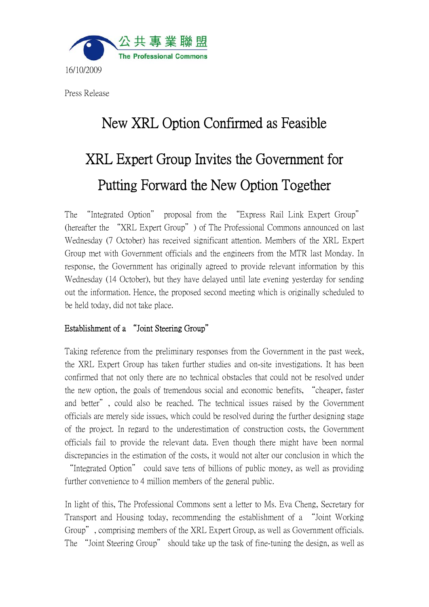

Press Release

## New XRL Option Confirmed as Feasible XRL Expert Group Invites the Government for Putting Forward the New Option Together

The "Integrated Option" proposal from the "Express Rail Link Expert Group" (hereafter the "XRL Expert Group") of The Professional Commons announced on last Wednesday (7 October) has received significant attention. Members of the XRL Expert Group met with Government officials and the engineers from the MTR last Monday. In response, the Government has originally agreed to provide relevant information by this Wednesday (14 October), but they have delayed until late evening yesterday for sending out the information. Hence, the proposed second meeting which is originally scheduled to be held today, did not take place.

## Establishment of a "Joint Steering Group"

Taking reference from the preliminary responses from the Government in the past week, the XRL Expert Group has taken further studies and on-site investigations. It has been confirmed that not only there are no technical obstacles that could not be resolved under the new option, the goals of tremendous social and economic benefits, "cheaper, faster and better", could also be reached. The technical issues raised by the Government officials are merely side issues, which could be resolved during the further designing stage of the project. In regard to the underestimation of construction costs, the Government officials fail to provide the relevant data. Even though there might have been normal discrepancies in the estimation of the costs, it would not alter our conclusion in which the

"Integrated Option" could save tens of billions of public money, as well as providing further convenience to 4 million members of the general public.

In light of this, The Professional Commons sent a letter to Ms. Eva Cheng, Secretary for Transport and Housing today, recommending the establishment of a "Joint Working Group", comprising members of the XRL Expert Group, as well as Government officials. The "Joint Steering Group" should take up the task of fine-tuning the design, as well as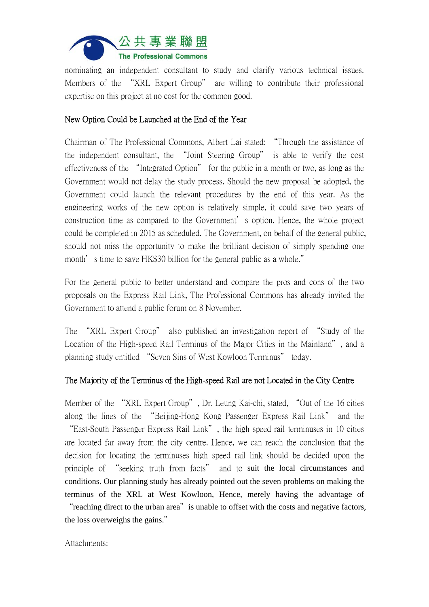

nominating an independent consultant to study and clarify various technical issues. Members of the "XRL Expert Group" are willing to contribute their professional expertise on this project at no cost for the common good.

## New Option Could be Launched at the End of the Year

Chairman of The Professional Commons, Albert Lai stated: "Through the assistance of the independent consultant, the "Joint Steering Group" is able to verify the cost effectiveness of the "Integrated Option" for the public in a month or two, as long as the Government would not delay the study process. Should the new proposal be adopted, the Government could launch the relevant procedures by the end of this year. As the engineering works of the new option is relatively simple, it could save two years of construction time as compared to the Government's option. Hence, the whole project could be completed in 2015 as scheduled. The Government, on behalf of the general public, should not miss the opportunity to make the brilliant decision of simply spending one month's time to save HK\$30 billion for the general public as a whole."

For the general public to better understand and compare the pros and cons of the two proposals on the Express Rail Link, The Professional Commons has already invited the Government to attend a public forum on 8 November.

The "XRL Expert Group" also published an investigation report of "Study of the Location of the High-speed Rail Terminus of the Major Cities in the Mainland", and a planning study entitled "Seven Sins of West Kowloon Terminus" today.

## The Majority of the Terminus of the High-speed Rail are not Located in the City Centre

Member of the "XRL Expert Group", Dr. Leung Kai-chi, stated, "Out of the 16 cities along the lines of the "Beijing-Hong Kong Passenger Express Rail Link" and the "East-South Passenger Express Rail Link", the high speed rail terminuses in 10 cities are located far away from the city centre. Hence, we can reach the conclusion that the decision for locating the terminuses high speed rail link should be decided upon the principle of "seeking truth from facts" and to suit the local circumstances and conditions. Our planning study has already pointed out the seven problems on making the terminus of the XRL at West Kowloon, Hence, merely having the advantage of "reaching direct to the urban area" is unable to offset with the costs and negative factors, the loss overweighs the gains."

Attachments: